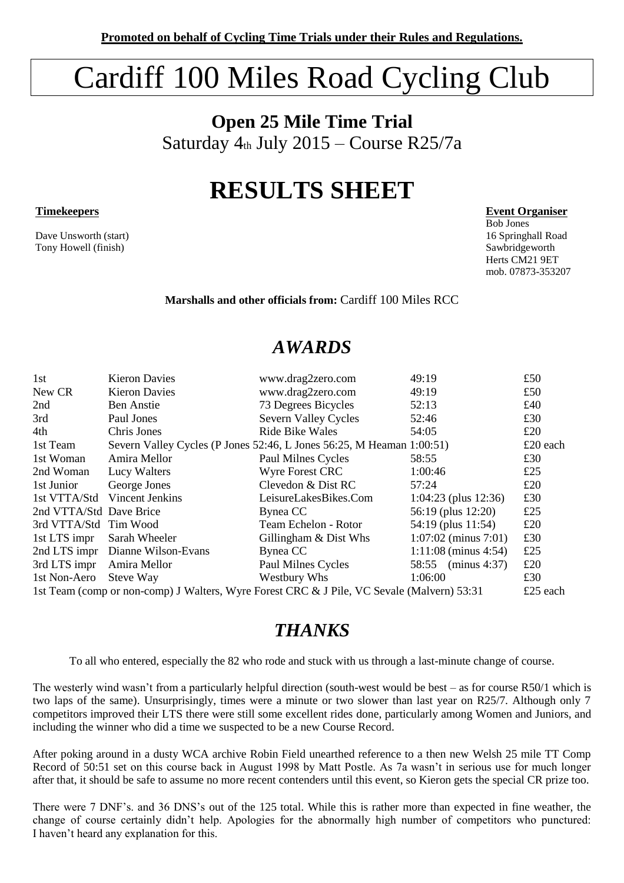# Cardiff 100 Miles Road Cycling Club

**Open 25 Mile Time Trial**  Saturday  $4<sub>th</sub>$  July 2015 – Course R25/7a

## **RESULTS SHEET**

Dave Unsworth (start) Tony Howell (finish) Sawbridgeworth Sawbridgeworth Sawbridgeworth Sawbridgeworth Sawbridgeworth Sawbridgeworth Sawbridgeworth Sample Sample Sample Sawbridgeworth Sample Sample Sample Sample Sample Sample Sample Sample Samp

**Timekeepers Event Organiser** 

Bob Jones Herts CM21 9ET mob. 07873-353207

**Marshalls and other officials from:** Cardiff 100 Miles RCC

### *AWARDS*

| 1st                                                                                        | <b>Kieron Davies</b>             | www.drag2zero.com                                                     | 49:19                  | £50      |
|--------------------------------------------------------------------------------------------|----------------------------------|-----------------------------------------------------------------------|------------------------|----------|
|                                                                                            |                                  |                                                                       |                        |          |
| New CR                                                                                     | <b>Kieron Davies</b>             | www.drag2zero.com                                                     | 49:19                  | £50      |
| 2nd                                                                                        | Ben Anstie                       | 73 Degrees Bicycles                                                   | 52:13                  | £40      |
| 3rd                                                                                        | Paul Jones                       | Severn Valley Cycles                                                  | 52:46                  | £30      |
| 4th                                                                                        | Chris Jones                      | <b>Ride Bike Wales</b>                                                | 54:05                  | £20      |
| 1st Team                                                                                   |                                  | Severn Valley Cycles (P Jones 52:46, L Jones 56:25, M Heaman 1:00:51) |                        | £20 each |
| 1st Woman                                                                                  | Amira Mellor                     | Paul Milnes Cycles                                                    | 58:55                  | £30      |
| 2nd Woman                                                                                  | Lucy Walters                     | <b>Wyre Forest CRC</b>                                                | 1:00:46                | £25      |
| 1st Junior                                                                                 | George Jones                     | Clevedon & Dist RC                                                    | 57:24                  | £20      |
| 1st VTTA/Std                                                                               | Vincent Jenkins                  | LeisureLakesBikes.Com                                                 | $1:04:23$ (plus 12:36) | £30      |
| 2nd VTTA/Std Dave Brice                                                                    |                                  | Bynea CC                                                              | 56:19 (plus 12:20)     | £25      |
| 3rd VTTA/Std Tim Wood                                                                      |                                  | Team Echelon - Rotor                                                  | 54:19 (plus 11:54)     | £20      |
| 1st LTS impr                                                                               | Sarah Wheeler                    | Gillingham & Dist Whs                                                 | $1:07:02$ (minus 7:01) | £30      |
|                                                                                            | 2nd LTS impr Dianne Wilson-Evans | Bynea CC                                                              | $1:11:08$ (minus 4:54) | £25      |
| 3rd LTS impr                                                                               | Amira Mellor                     | Paul Milnes Cycles                                                    | 58:55 (minus 4:37)     | £20      |
| 1st Non-Aero                                                                               | Steve Way                        | Westbury Whs                                                          | 1:06:00                | £30      |
| 1st Team (comp or non-comp) J Walters, Wyre Forest CRC & J Pile, VC Sevale (Malvern) 53:31 |                                  |                                                                       |                        | £25 each |

## *THANKS*

To all who entered, especially the 82 who rode and stuck with us through a last-minute change of course.

The westerly wind wasn't from a particularly helpful direction (south-west would be best – as for course R50/1 which is two laps of the same). Unsurprisingly, times were a minute or two slower than last year on R25/7. Although only 7 competitors improved their LTS there were still some excellent rides done, particularly among Women and Juniors, and including the winner who did a time we suspected to be a new Course Record.

After poking around in a dusty WCA archive Robin Field unearthed reference to a then new Welsh 25 mile TT Comp Record of 50:51 set on this course back in August 1998 by Matt Postle. As 7a wasn't in serious use for much longer after that, it should be safe to assume no more recent contenders until this event, so Kieron gets the special CR prize too.

There were 7 DNF's. and 36 DNS's out of the 125 total. While this is rather more than expected in fine weather, the change of course certainly didn't help. Apologies for the abnormally high number of competitors who punctured: I haven't heard any explanation for this.